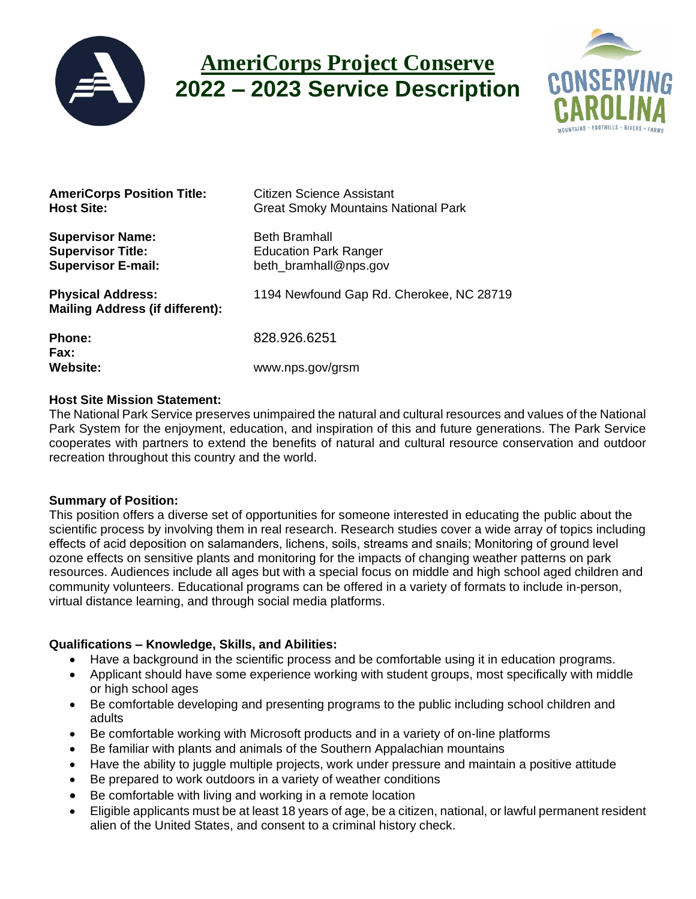

# **AmeriCorps Project Conserve 2022 – 2023 Service Description**



| <b>AmeriCorps Position Title:</b><br><b>Host Site:</b>                           | Citizen Science Assistant<br><b>Great Smoky Mountains National Park</b>       |
|----------------------------------------------------------------------------------|-------------------------------------------------------------------------------|
| <b>Supervisor Name:</b><br><b>Supervisor Title:</b><br><b>Supervisor E-mail:</b> | <b>Beth Bramhall</b><br><b>Education Park Ranger</b><br>beth_bramhall@nps.gov |
| <b>Physical Address:</b><br><b>Mailing Address (if different):</b>               | 1194 Newfound Gap Rd. Cherokee, NC 28719                                      |
| <b>Phone:</b><br><b>Fax:</b>                                                     | 828.926.6251                                                                  |
| <b>Website:</b>                                                                  | www.nps.gov/grsm                                                              |

# **Host Site Mission Statement:**

The National Park Service preserves unimpaired the natural and cultural resources and values of the National Park System for the enjoyment, education, and inspiration of this and future generations. The Park Service cooperates with partners to extend the benefits of natural and cultural resource conservation and outdoor recreation throughout this country and the world.

# **Summary of Position:**

This position offers a diverse set of opportunities for someone interested in educating the public about the scientific process by involving them in real research. Research studies cover a wide array of topics including effects of acid deposition on salamanders, lichens, soils, streams and snails; Monitoring of ground level ozone effects on sensitive plants and monitoring for the impacts of changing weather patterns on park resources. Audiences include all ages but with a special focus on middle and high school aged children and community volunteers. Educational programs can be offered in a variety of formats to include in-person, virtual distance learning, and through social media platforms.

# **Qualifications – Knowledge, Skills, and Abilities:**

- Have a background in the scientific process and be comfortable using it in education programs.
- Applicant should have some experience working with student groups, most specifically with middle or high school ages
- Be comfortable developing and presenting programs to the public including school children and adults
- Be comfortable working with Microsoft products and in a variety of on-line platforms
- Be familiar with plants and animals of the Southern Appalachian mountains
- Have the ability to juggle multiple projects, work under pressure and maintain a positive attitude
- Be prepared to work outdoors in a variety of weather conditions
- Be comfortable with living and working in a remote location
- Eligible applicants must be at least 18 years of age, be a citizen, national, or lawful permanent resident alien of the United States, and consent to a criminal history check.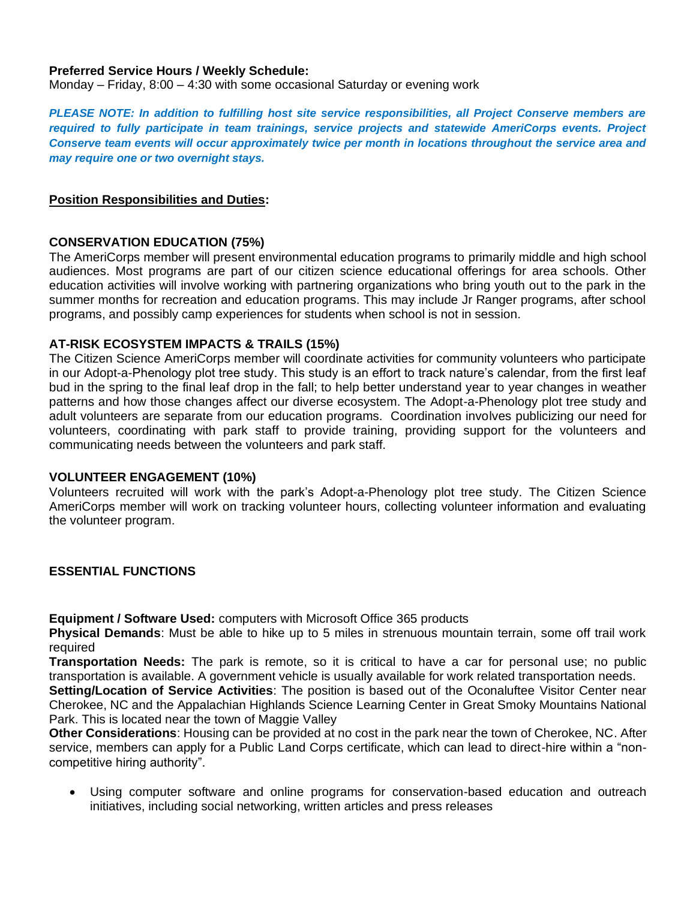# **Preferred Service Hours / Weekly Schedule:**

Monday – Friday,  $8:00 - 4:30$  with some occasional Saturday or evening work

*PLEASE NOTE: In addition to fulfilling host site service responsibilities, all Project Conserve members are required to fully participate in team trainings, service projects and statewide AmeriCorps events. Project Conserve team events will occur approximately twice per month in locations throughout the service area and may require one or two overnight stays.*

#### **Position Responsibilities and Duties:**

#### **CONSERVATION EDUCATION (75%)**

The AmeriCorps member will present environmental education programs to primarily middle and high school audiences. Most programs are part of our citizen science educational offerings for area schools. Other education activities will involve working with partnering organizations who bring youth out to the park in the summer months for recreation and education programs. This may include Jr Ranger programs, after school programs, and possibly camp experiences for students when school is not in session.

#### **AT-RISK ECOSYSTEM IMPACTS & TRAILS (15%)**

The Citizen Science AmeriCorps member will coordinate activities for community volunteers who participate in our Adopt-a-Phenology plot tree study. This study is an effort to track nature's calendar, from the first leaf bud in the spring to the final leaf drop in the fall; to help better understand year to year changes in weather patterns and how those changes affect our diverse ecosystem. The Adopt-a-Phenology plot tree study and adult volunteers are separate from our education programs. Coordination involves publicizing our need for volunteers, coordinating with park staff to provide training, providing support for the volunteers and communicating needs between the volunteers and park staff.

#### **VOLUNTEER ENGAGEMENT (10%)**

Volunteers recruited will work with the park's Adopt-a-Phenology plot tree study. The Citizen Science AmeriCorps member will work on tracking volunteer hours, collecting volunteer information and evaluating the volunteer program.

# **ESSENTIAL FUNCTIONS**

**Equipment / Software Used:** computers with Microsoft Office 365 products

**Physical Demands**: Must be able to hike up to 5 miles in strenuous mountain terrain, some off trail work required

**Transportation Needs:** The park is remote, so it is critical to have a car for personal use; no public transportation is available. A government vehicle is usually available for work related transportation needs.

**Setting/Location of Service Activities**: The position is based out of the Oconaluftee Visitor Center near Cherokee, NC and the Appalachian Highlands Science Learning Center in Great Smoky Mountains National Park. This is located near the town of Maggie Valley

**Other Considerations**: Housing can be provided at no cost in the park near the town of Cherokee, NC. After service, members can apply for a Public Land Corps certificate, which can lead to direct-hire within a "noncompetitive hiring authority".

• Using computer software and online programs for conservation-based education and outreach initiatives, including social networking, written articles and press releases